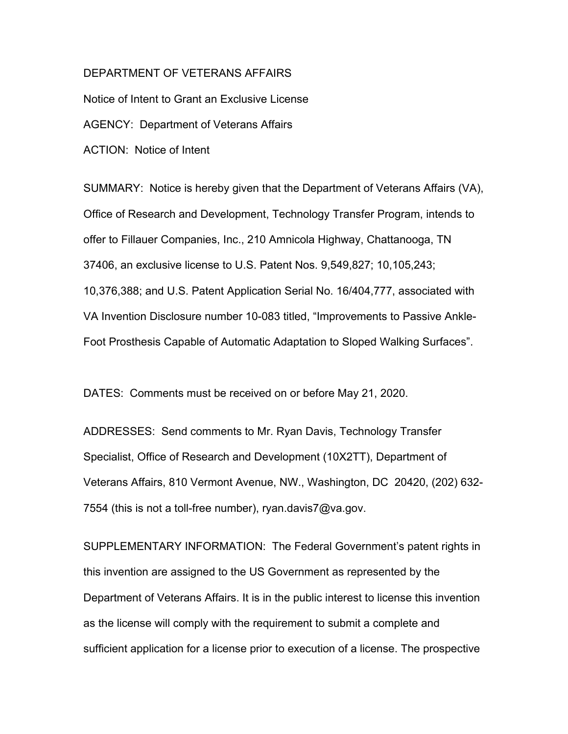## DEPARTMENT OF VETERANS AFFAIRS

Notice of Intent to Grant an Exclusive License AGENCY: Department of Veterans Affairs ACTION: Notice of Intent

SUMMARY: Notice is hereby given that the Department of Veterans Affairs (VA), Office of Research and Development, Technology Transfer Program, intends to offer to Fillauer Companies, Inc., 210 Amnicola Highway, Chattanooga, TN 37406, an exclusive license to U.S. Patent Nos. 9,549,827; 10,105,243; 10,376,388; and U.S. Patent Application Serial No. 16/404,777, associated with VA Invention Disclosure number 10-083 titled, "Improvements to Passive Ankle-Foot Prosthesis Capable of Automatic Adaptation to Sloped Walking Surfaces".

DATES: Comments must be received on or before May 21, 2020.

ADDRESSES: Send comments to Mr. Ryan Davis, Technology Transfer Specialist, Office of Research and Development (10X2TT), Department of Veterans Affairs, 810 Vermont Avenue, NW., Washington, DC 20420, (202) 632- 7554 (this is not a toll-free number), ryan.davis7@va.gov.

SUPPLEMENTARY INFORMATION: The Federal Government's patent rights in this invention are assigned to the US Government as represented by the Department of Veterans Affairs. It is in the public interest to license this invention as the license will comply with the requirement to submit a complete and sufficient application for a license prior to execution of a license. The prospective